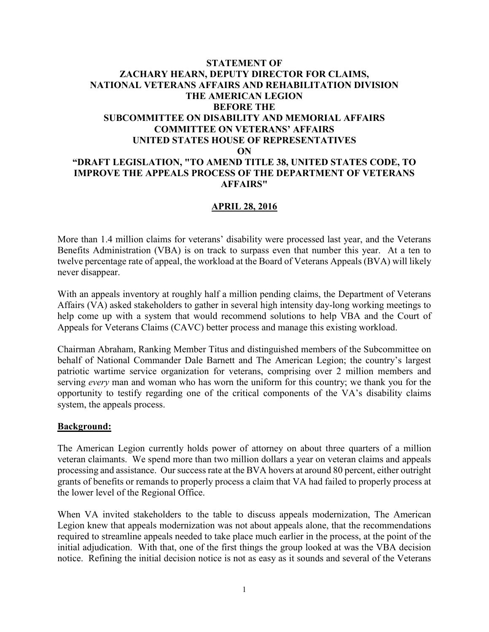## **STATEMENT OF ZACHARY HEARN, DEPUTY DIRECTOR FOR CLAIMS, NATIONAL VETERANS AFFAIRS AND REHABILITATION DIVISION THE AMERICAN LEGION BEFORE THE SUBCOMMITTEE ON DISABILITY AND MEMORIAL AFFAIRS COMMITTEE ON VETERANS' AFFAIRS UNITED STATES HOUSE OF REPRESENTATIVES ON "DRAFT LEGISLATION, "TO AMEND TITLE 38, UNITED STATES CODE, TO IMPROVE THE APPEALS PROCESS OF THE DEPARTMENT OF VETERANS AFFAIRS"**

## **APRIL 28, 2016**

More than 1.4 million claims for veterans' disability were processed last year, and the Veterans Benefits Administration (VBA) is on track to surpass even that number this year. At a ten to twelve percentage rate of appeal, the workload at the Board of Veterans Appeals (BVA) will likely never disappear.

With an appeals inventory at roughly half a million pending claims, the Department of Veterans Affairs (VA) asked stakeholders to gather in several high intensity day-long working meetings to help come up with a system that would recommend solutions to help VBA and the Court of Appeals for Veterans Claims (CAVC) better process and manage this existing workload.

Chairman Abraham, Ranking Member Titus and distinguished members of the Subcommittee on behalf of National Commander Dale Barnett and The American Legion; the country's largest patriotic wartime service organization for veterans, comprising over 2 million members and serving *every* man and woman who has worn the uniform for this country; we thank you for the opportunity to testify regarding one of the critical components of the VA's disability claims system, the appeals process.

## **Background:**

The American Legion currently holds power of attorney on about three quarters of a million veteran claimants. We spend more than two million dollars a year on veteran claims and appeals processing and assistance. Our success rate at the BVA hovers at around 80 percent, either outright grants of benefits or remands to properly process a claim that VA had failed to properly process at the lower level of the Regional Office.

When VA invited stakeholders to the table to discuss appeals modernization, The American Legion knew that appeals modernization was not about appeals alone, that the recommendations required to streamline appeals needed to take place much earlier in the process, at the point of the initial adjudication. With that, one of the first things the group looked at was the VBA decision notice. Refining the initial decision notice is not as easy as it sounds and several of the Veterans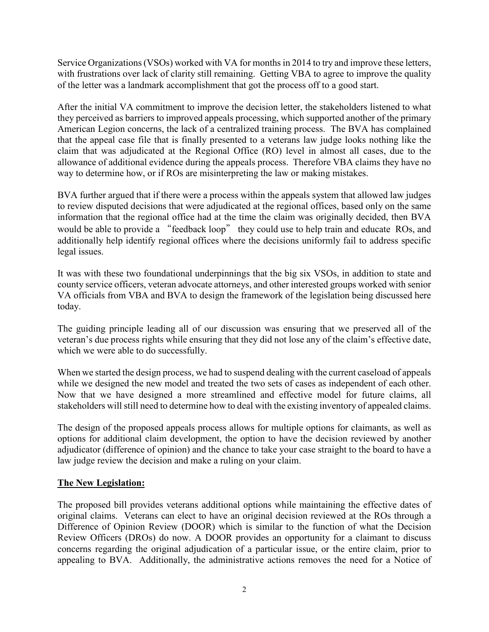Service Organizations (VSOs) worked with VA for months in 2014 to try and improve these letters, with frustrations over lack of clarity still remaining. Getting VBA to agree to improve the quality of the letter was a landmark accomplishment that got the process off to a good start.

After the initial VA commitment to improve the decision letter, the stakeholders listened to what they perceived as barriers to improved appeals processing, which supported another of the primary American Legion concerns, the lack of a centralized training process. The BVA has complained that the appeal case file that is finally presented to a veterans law judge looks nothing like the claim that was adjudicated at the Regional Office (RO) level in almost all cases, due to the allowance of additional evidence during the appeals process. Therefore VBA claims they have no way to determine how, or if ROs are misinterpreting the law or making mistakes.

BVA further argued that if there were a process within the appeals system that allowed law judges to review disputed decisions that were adjudicated at the regional offices, based only on the same information that the regional office had at the time the claim was originally decided, then BVA would be able to provide a "feedback loop" they could use to help train and educate ROs, and additionally help identify regional offices where the decisions uniformly fail to address specific legal issues.

It was with these two foundational underpinnings that the big six VSOs, in addition to state and county service officers, veteran advocate attorneys, and other interested groups worked with senior VA officials from VBA and BVA to design the framework of the legislation being discussed here today.

The guiding principle leading all of our discussion was ensuring that we preserved all of the veteran's due process rights while ensuring that they did not lose any of the claim's effective date, which we were able to do successfully.

When we started the design process, we had to suspend dealing with the current caseload of appeals while we designed the new model and treated the two sets of cases as independent of each other. Now that we have designed a more streamlined and effective model for future claims, all stakeholders will still need to determine how to deal with the existing inventory of appealed claims.

The design of the proposed appeals process allows for multiple options for claimants, as well as options for additional claim development, the option to have the decision reviewed by another adjudicator (difference of opinion) and the chance to take your case straight to the board to have a law judge review the decision and make a ruling on your claim.

## **The New Legislation:**

The proposed bill provides veterans additional options while maintaining the effective dates of original claims. Veterans can elect to have an original decision reviewed at the ROs through a Difference of Opinion Review (DOOR) which is similar to the function of what the Decision Review Officers (DROs) do now. A DOOR provides an opportunity for a claimant to discuss concerns regarding the original adjudication of a particular issue, or the entire claim, prior to appealing to BVA. Additionally, the administrative actions removes the need for a Notice of